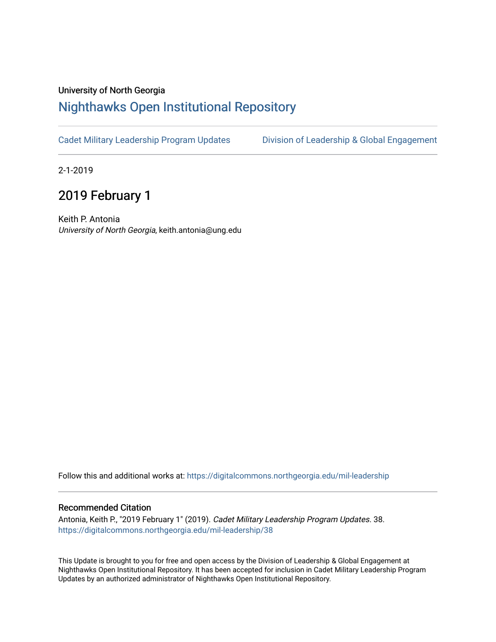## University of North Georgia

## [Nighthawks Open Institutional Repository](https://digitalcommons.northgeorgia.edu/)

[Cadet Military Leadership Program Updates](https://digitalcommons.northgeorgia.edu/mil-leadership) [Division of Leadership & Global Engagement](https://digitalcommons.northgeorgia.edu/leadership) 

2-1-2019

## 2019 February 1

Keith P. Antonia University of North Georgia, keith.antonia@ung.edu

Follow this and additional works at: [https://digitalcommons.northgeorgia.edu/mil-leadership](https://digitalcommons.northgeorgia.edu/mil-leadership?utm_source=digitalcommons.northgeorgia.edu%2Fmil-leadership%2F38&utm_medium=PDF&utm_campaign=PDFCoverPages) 

## Recommended Citation

Antonia, Keith P., "2019 February 1" (2019). Cadet Military Leadership Program Updates. 38. [https://digitalcommons.northgeorgia.edu/mil-leadership/38](https://digitalcommons.northgeorgia.edu/mil-leadership/38?utm_source=digitalcommons.northgeorgia.edu%2Fmil-leadership%2F38&utm_medium=PDF&utm_campaign=PDFCoverPages)

This Update is brought to you for free and open access by the Division of Leadership & Global Engagement at Nighthawks Open Institutional Repository. It has been accepted for inclusion in Cadet Military Leadership Program Updates by an authorized administrator of Nighthawks Open Institutional Repository.